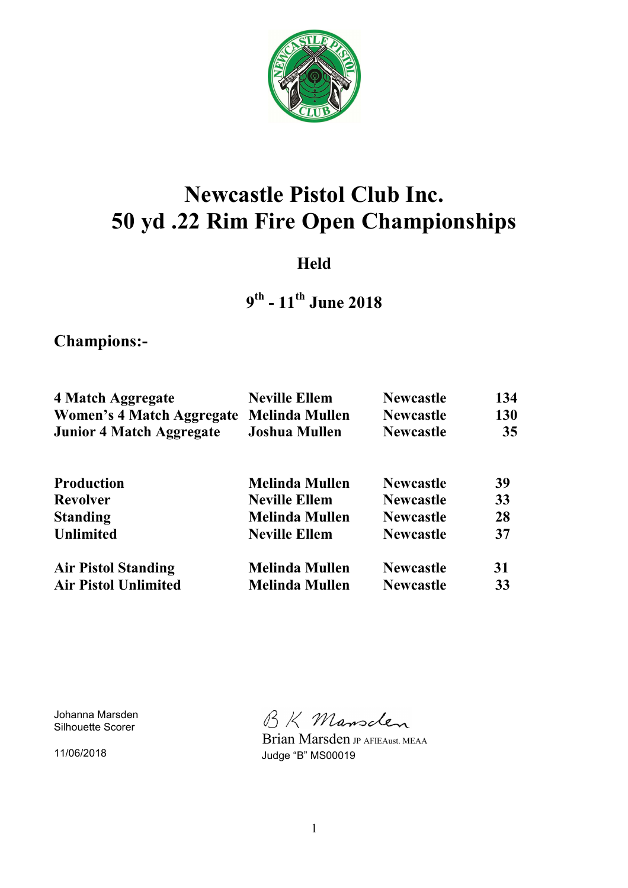

# **Newcastle Pistol Club Inc. 50 yd .22 Rim Fire Open Championships**

### **Held**

### **9 th - 11th June 2018**

**Champions:-** 

| 4 Match Aggregate                | <b>Neville Ellem</b>  | <b>Newcastle</b> | 134        |
|----------------------------------|-----------------------|------------------|------------|
| <b>Women's 4 Match Aggregate</b> | <b>Melinda Mullen</b> | <b>Newcastle</b> | <b>130</b> |
| <b>Junior 4 Match Aggregate</b>  | <b>Joshua Mullen</b>  | <b>Newcastle</b> | 35         |
| <b>Production</b>                | <b>Melinda Mullen</b> | <b>Newcastle</b> | 39         |
| <b>Revolver</b>                  | <b>Neville Ellem</b>  | <b>Newcastle</b> | 33         |
| <b>Standing</b>                  | <b>Melinda Mullen</b> | <b>Newcastle</b> | 28         |
| <b>Unlimited</b>                 | <b>Neville Ellem</b>  | <b>Newcastle</b> | 37         |
| <b>Air Pistol Standing</b>       | <b>Melinda Mullen</b> | <b>Newcastle</b> | 31         |
| <b>Air Pistol Unlimited</b>      | <b>Melinda Mullen</b> | <b>Newcastle</b> | 33         |

Johanna Marsden Silhouette Scorer

11/06/2018

BK Mansclen

 Brian Marsden JP AFIEAust. MEAA Judge "B" MS00019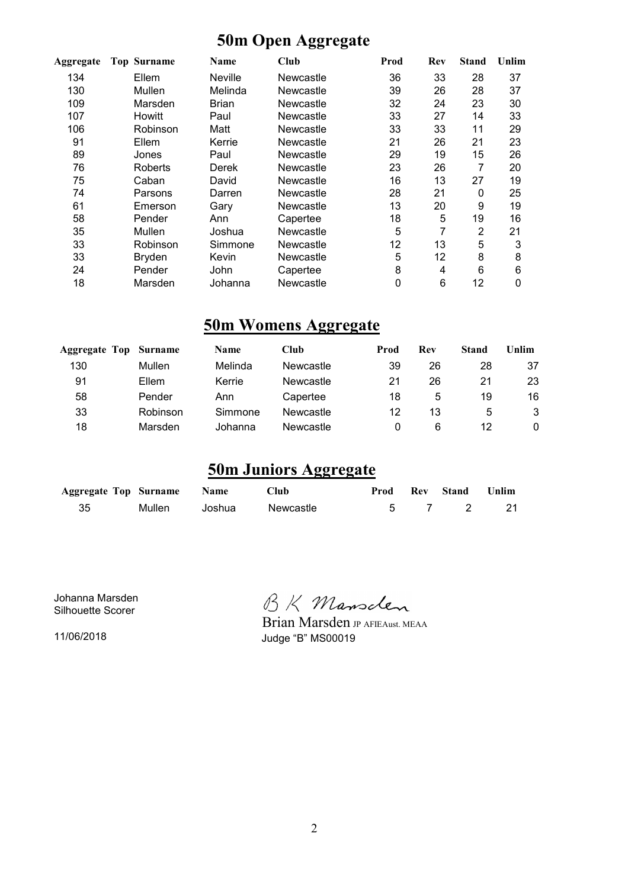### **50m Open Aggregate**

| Aggregate | <b>Top Surname</b> | Name           | Club             | Prod | Rev | <b>Stand</b> | Unlim |
|-----------|--------------------|----------------|------------------|------|-----|--------------|-------|
| 134       | Ellem              | <b>Neville</b> | Newcastle        | 36   | 33  | 28           | 37    |
| 130       | Mullen             | Melinda        | <b>Newcastle</b> | 39   | 26  | 28           | 37    |
| 109       | Marsden            | Brian          | Newcastle        | 32   | 24  | 23           | 30    |
| 107       | <b>Howitt</b>      | Paul           | Newcastle        | 33   | 27  | 14           | 33    |
| 106       | Robinson           | Matt           | Newcastle        | 33   | 33  | 11           | 29    |
| 91        | Ellem              | Kerrie         | Newcastle        | 21   | 26  | 21           | 23    |
| 89        | Jones              | Paul           | Newcastle        | 29   | 19  | 15           | 26    |
| 76        | Roberts            | Derek          | <b>Newcastle</b> | 23   | 26  | 7            | 20    |
| 75        | Caban              | David          | Newcastle        | 16   | 13  | 27           | 19    |
| 74        | Parsons            | Darren         | Newcastle        | 28   | 21  | 0            | 25    |
| 61        | Emerson            | Gary           | Newcastle        | 13   | 20  | 9            | 19    |
| 58        | Pender             | Ann            | Capertee         | 18   | 5   | 19           | 16    |
| 35        | Mullen             | Joshua         | Newcastle        | 5    | 7   | 2            | 21    |
| 33        | Robinson           | Simmone        | Newcastle        | 12   | 13  | 5            | 3     |
| 33        | Bryden             | Kevin          | Newcastle        | 5    | 12  | 8            | 8     |
| 24        | Pender             | John           | Capertee         | 8    | 4   | 6            | 6     |
| 18        | Marsden            | Johanna        | Newcastle        | 0    | 6   | 12           | 0     |

### **50m Womens Aggregate**

|          | <b>Name</b>           | <b>Club</b> | Prod | Rev | <b>Stand</b> | Unlim |
|----------|-----------------------|-------------|------|-----|--------------|-------|
| Mullen   | Melinda               | Newcastle   | 39   | 26  | 28           | 37    |
| Ellem    | Kerrie                | Newcastle   | 21   | 26  | 21           | 23    |
| Pender   | Ann                   | Capertee    | 18   | 5   | 19           | 16    |
| Robinson | Simmone               | Newcastle   | 12   | 13  | 5            | 3     |
| Marsden  | Johanna               | Newcastle   | 0    | 6   | 12           | 0     |
|          | Aggregate Top Surname |             |      |     |              |       |

### **50m Juniors Aggregate**

| <b>Aggregate Top Surname Name</b> |        |        | <b>Club</b> |  | Prod Rev Stand Unlim |  |
|-----------------------------------|--------|--------|-------------|--|----------------------|--|
| 35                                | Mullen | Joshua | Newcastle   |  | 5 7 2 21             |  |

Johanna Marsden Silhouette Scorer

11/06/2018

BK Mansclen

Brian Marsden JP AFIEAust. MEAA Judge "B" MS00019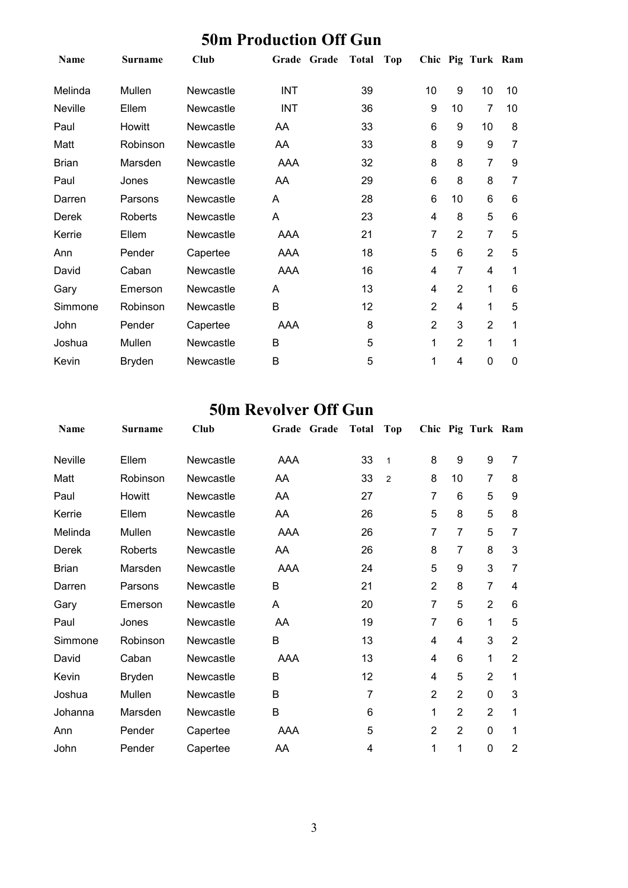| Name         | <b>Surname</b> | Club      | Grade Grade | <b>Total</b> | Top |                |                | Chic Pig Turk Ram |    |
|--------------|----------------|-----------|-------------|--------------|-----|----------------|----------------|-------------------|----|
| Melinda      | Mullen         | Newcastle | <b>INT</b>  | 39           |     | 10             | 9              | 10                | 10 |
| Neville      | Ellem          | Newcastle | <b>INT</b>  | 36           |     | 9              | 10             | 7                 | 10 |
| Paul         | Howitt         | Newcastle | AA          | 33           |     | 6              | 9              | 10                | 8  |
| Matt         | Robinson       | Newcastle | AA          | 33           |     | 8              | 9              | 9                 | 7  |
| <b>Brian</b> | Marsden        | Newcastle | AAA         | 32           |     | 8              | 8              | $\overline{7}$    | 9  |
| Paul         | Jones          | Newcastle | AA          | 29           |     | 6              | 8              | 8                 | 7  |
| Darren       | Parsons        | Newcastle | Α           | 28           |     | 6              | 10             | 6                 | 6  |
| Derek        | Roberts        | Newcastle | A           | 23           |     | 4              | 8              | 5                 | 6  |
| Kerrie       | Ellem          | Newcastle | <b>AAA</b>  | 21           |     | 7              | $\overline{2}$ | $\overline{7}$    | 5  |
| Ann          | Pender         | Capertee  | AAA         | 18           |     | 5              | 6              | $\overline{2}$    | 5  |
| David        | Caban          | Newcastle | <b>AAA</b>  | 16           |     | 4              | 7              | 4                 | 1  |
| Gary         | Emerson        | Newcastle | A           | 13           |     | 4              | $\overline{2}$ | 1                 | 6  |
| Simmone      | Robinson       | Newcastle | B           | 12           |     | $\overline{2}$ | 4              | 1                 | 5  |
| John         | Pender         | Capertee  | AAA         | 8            |     | $\overline{2}$ | 3              | $\overline{2}$    |    |
| Joshua       | Mullen         | Newcastle | B           | 5            |     | 1              | $\overline{2}$ | 1                 | 1  |
| Kevin        | <b>Bryden</b>  | Newcastle | Β           | 5            |     | 1              | 4              | 0                 | 0  |

#### **50m Production Off Gun**

#### **50m Revolver Off Gun**

| Name    | <b>Surname</b> | Club      | Grade<br>Grade | <b>Total</b> | <b>Top</b>     |                |                | Chic Pig Turk Ram |                |
|---------|----------------|-----------|----------------|--------------|----------------|----------------|----------------|-------------------|----------------|
| Neville | Ellem          | Newcastle | <b>AAA</b>     | 33           | $\mathbf{1}$   | 8              | 9              | 9                 | 7              |
| Matt    | Robinson       | Newcastle | AA.            | 33           | $\overline{2}$ | 8              | 10             | $\overline{7}$    | 8              |
| Paul    | Howitt         | Newcastle | AA             | 27           |                | 7              | 6              | 5                 | 9              |
| Kerrie  | Ellem          | Newcastle | AA             | 26           |                | 5              | 8              | 5                 | 8              |
| Melinda | Mullen         | Newcastle | AAA            | 26           |                | 7              | 7              | 5                 | 7              |
| Derek   | <b>Roberts</b> | Newcastle | AA             | 26           |                | 8              | 7              | 8                 | 3              |
| Brian   | Marsden        | Newcastle | AAA            | 24           |                | 5              | 9              | 3                 | 7              |
| Darren  | Parsons        | Newcastle | B              | 21           |                | $\overline{2}$ | 8              | 7                 | 4              |
| Gary    | Emerson        | Newcastle | Α              | 20           |                | 7              | 5              | $\overline{2}$    | 6              |
| Paul    | Jones          | Newcastle | AA             | 19           |                | 7              | 6              | 1                 | 5              |
| Simmone | Robinson       | Newcastle | B              | 13           |                | 4              | 4              | 3                 | $\overline{2}$ |
| David   | Caban          | Newcastle | AAA            | 13           |                | 4              | 6              | 1                 | $\overline{2}$ |
| Kevin   | <b>Bryden</b>  | Newcastle | B              | 12           |                | 4              | 5              | $\overline{2}$    | 1              |
| Joshua  | Mullen         | Newcastle | B              | 7            |                | $\overline{2}$ | $\overline{2}$ | 0                 | 3              |
| Johanna | Marsden        | Newcastle | B              | 6            |                | 1              | $\overline{2}$ | $\overline{2}$    | 1              |
| Ann     | Pender         | Capertee  | AAA            | 5            |                | $\overline{2}$ | $\overline{2}$ | 0                 | 1              |
| John    | Pender         | Capertee  | AA             | 4            |                | 1              | 1              | 0                 | 2              |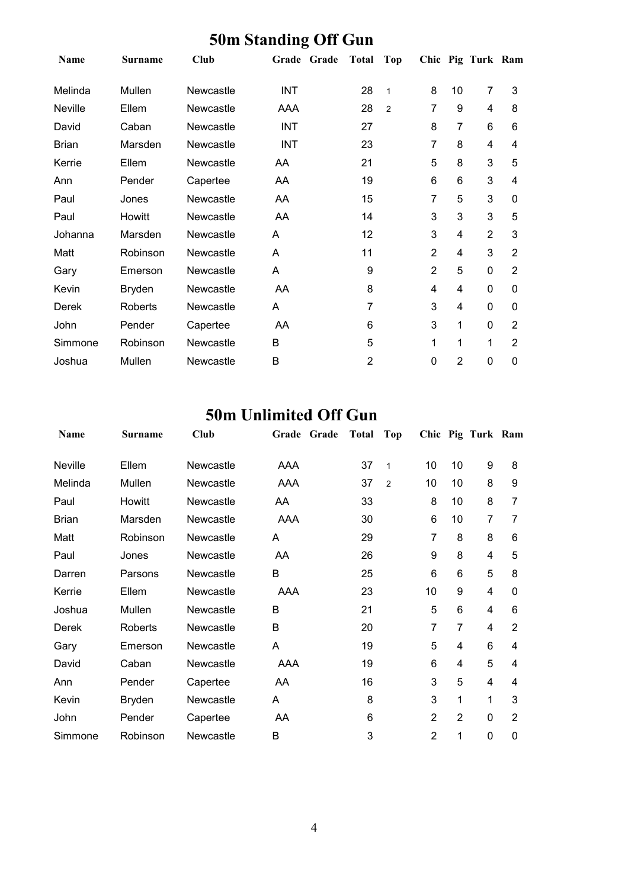| Name         | <b>Surname</b> | Club      | Grade Grade | <b>Total</b>   | Top            |                |                | Chic Pig Turk Ram |                |
|--------------|----------------|-----------|-------------|----------------|----------------|----------------|----------------|-------------------|----------------|
| Melinda      | Mullen         | Newcastle | <b>INT</b>  | 28             | $\mathbf{1}$   | 8              | 10             | 7                 | 3              |
| Neville      | Ellem          | Newcastle | AAA         | 28             | $\overline{2}$ | 7              | 9              | 4                 | 8              |
| David        | Caban          | Newcastle | <b>INT</b>  | 27             |                | 8              | $\overline{7}$ | 6                 | 6              |
| <b>Brian</b> | Marsden        | Newcastle | <b>INT</b>  | 23             |                | 7              | 8              | 4                 | 4              |
| Kerrie       | Ellem          | Newcastle | AA          | 21             |                | 5              | 8              | 3                 | 5              |
| Ann          | Pender         | Capertee  | AA          | 19             |                | 6              | 6              | 3                 | 4              |
| Paul         | Jones          | Newcastle | AA          | 15             |                | 7              | 5              | 3                 | 0              |
| Paul         | Howitt         | Newcastle | AA          | 14             |                | 3              | 3              | 3                 | 5              |
| Johanna      | Marsden        | Newcastle | A           | 12             |                | 3              | 4              | $\overline{2}$    | 3              |
| Matt         | Robinson       | Newcastle | A           | 11             |                | $\overline{2}$ | 4              | 3                 | 2              |
| Gary         | Emerson        | Newcastle | A           | 9              |                | $\overline{2}$ | 5              | 0                 | $\overline{2}$ |
| Kevin        | <b>Bryden</b>  | Newcastle | AA          | 8              |                | 4              | 4              | 0                 | $\mathbf 0$    |
| Derek        | Roberts        | Newcastle | A           | 7              |                | 3              | 4              | 0                 | $\mathbf 0$    |
| John         | Pender         | Capertee  | AA          | 6              |                | 3              | 1              | 0                 | $\overline{2}$ |
| Simmone      | Robinson       | Newcastle | B           | 5              |                | 1              | 1              | 1                 | $\overline{2}$ |
| Joshua       | Mullen         | Newcastle | B           | $\overline{2}$ |                | 0              | $\overline{2}$ | 0                 | 0              |

#### **50m Standing Off Gun**

### **50m Unlimited Off Gun**

| Name         | Surname        | Club      | Grade<br>Grade | <b>Total</b> | Top            |                |                | Chic Pig Turk Ram |                |
|--------------|----------------|-----------|----------------|--------------|----------------|----------------|----------------|-------------------|----------------|
| Neville      | Ellem          | Newcastle | AAA            | 37           | $\mathbf 1$    | 10             | 10             | 9                 | 8              |
| Melinda      | Mullen         | Newcastle | AAA            | 37           | $\overline{2}$ | 10             | 10             | 8                 | 9              |
| Paul         | Howitt         | Newcastle | AA             | 33           |                | 8              | 10             | 8                 | 7              |
| <b>Brian</b> | Marsden        | Newcastle | AAA            | 30           |                | 6              | 10             | 7                 | 7              |
| Matt         | Robinson       | Newcastle | A              | 29           |                | 7              | 8              | 8                 | 6              |
| Paul         | Jones          | Newcastle | AA             | 26           |                | 9              | 8              | 4                 | 5              |
| Darren       | Parsons        | Newcastle | B              | 25           |                | 6              | 6              | 5                 | 8              |
| Kerrie       | Ellem          | Newcastle | AAA            | 23           |                | 10             | 9              | 4                 | 0              |
| Joshua       | Mullen         | Newcastle | B              | 21           |                | 5              | 6              | 4                 | 6              |
| Derek        | <b>Roberts</b> | Newcastle | B              | 20           |                | $\overline{7}$ | $\overline{7}$ | 4                 | $\overline{2}$ |
| Gary         | Emerson        | Newcastle | A              | 19           |                | 5              | 4              | 6                 | 4              |
| David        | Caban          | Newcastle | AAA            | 19           |                | 6              | 4              | 5                 | 4              |
| Ann          | Pender         | Capertee  | AA             | 16           |                | 3              | 5              | 4                 | 4              |
| Kevin        | <b>Bryden</b>  | Newcastle | A              | 8            |                | 3              | 1              | 1                 | 3              |
| John         | Pender         | Capertee  | AA             | 6            |                | $\overline{2}$ | $\overline{2}$ | $\overline{0}$    | 2              |
| Simmone      | Robinson       | Newcastle | B              | 3            |                | $\overline{2}$ | 1              | 0                 | 0              |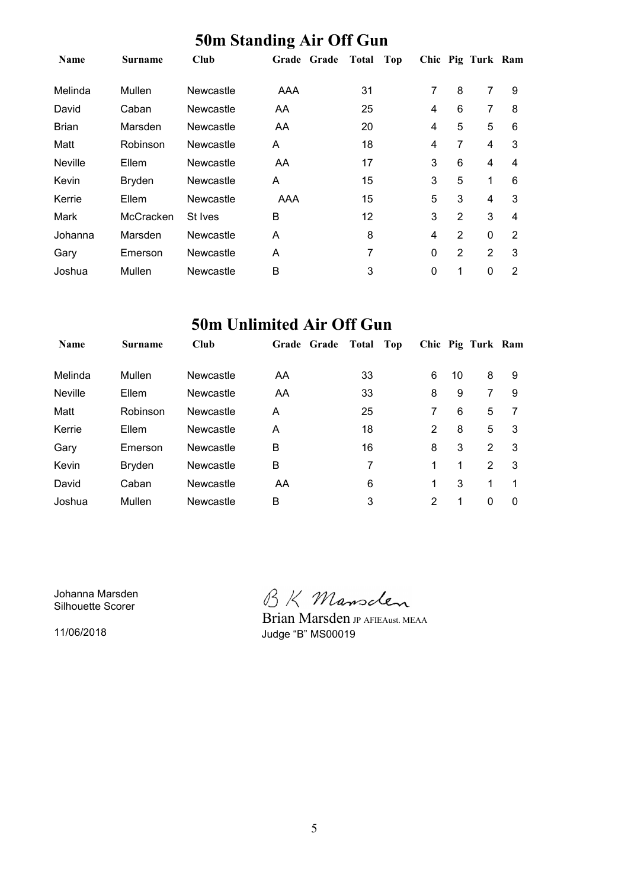|                | $\sim$ on $\sim$ and $\sim$ and $\sim$ and $\sim$ and $\sim$ and $\sim$ and $\sim$ and $\sim$ and $\sim$ |                  |     |                       |   |                |                   |                |  |  |
|----------------|----------------------------------------------------------------------------------------------------------|------------------|-----|-----------------------|---|----------------|-------------------|----------------|--|--|
| <b>Name</b>    | <b>Surname</b>                                                                                           | Club             |     | Grade Grade Total Top |   |                | Chic Pig Turk Ram |                |  |  |
| Melinda        | Mullen                                                                                                   | <b>Newcastle</b> | AAA | 31                    | 7 | 8              | 7                 | 9              |  |  |
| David          | Caban                                                                                                    | <b>Newcastle</b> | AA  | 25                    | 4 | 6              | 7                 | 8              |  |  |
| <b>Brian</b>   | Marsden                                                                                                  | <b>Newcastle</b> | AA  | 20                    | 4 | 5              | 5                 | 6              |  |  |
| Matt           | Robinson                                                                                                 | Newcastle        | A   | 18                    | 4 | 7              | 4                 | 3              |  |  |
| <b>Neville</b> | Ellem                                                                                                    | Newcastle        | AA  | 17                    | 3 | 6              | 4                 | 4              |  |  |
| Kevin          | <b>Bryden</b>                                                                                            | Newcastle        | A   | 15                    | 3 | 5              | $\mathbf 1$       | 6              |  |  |
| Kerrie         | Ellem                                                                                                    | Newcastle        | AAA | 15                    | 5 | 3              | 4                 | 3              |  |  |
| Mark           | McCracken                                                                                                | St Ives          | B   | 12                    | 3 | $\overline{2}$ | 3                 | 4              |  |  |
| Johanna        | Marsden                                                                                                  | Newcastle        | A   | 8                     | 4 | $\overline{2}$ | $\mathbf 0$       | 2              |  |  |
| Gary           | Emerson                                                                                                  | Newcastle        | A   | 7                     | 0 | $\overline{2}$ | $\overline{2}$    | 3              |  |  |
| Joshua         | Mullen                                                                                                   | Newcastle        | В   | 3                     | 0 | 1              | 0                 | $\overline{2}$ |  |  |

#### **50m Standing Air Off Gun**

### **50m Unlimited Air Off Gun**

| <b>Name</b>    | <b>Surname</b> | <b>Club</b> | Grade Grade | Total | Top |   |    | Chic Pig Turk Ram |   |
|----------------|----------------|-------------|-------------|-------|-----|---|----|-------------------|---|
| Melinda        | Mullen         | Newcastle   | AA          | 33    |     | 6 | 10 | 8                 | 9 |
| <b>Neville</b> | Ellem          | Newcastle   | AA          | 33    |     | 8 | 9  | 7                 | 9 |
| Matt           | Robinson       | Newcastle   | A           | 25    |     | 7 | 6  | 5                 |   |
| Kerrie         | Ellem          | Newcastle   | A           | 18    |     | 2 | 8  | 5                 | 3 |
| Gary           | Emerson        | Newcastle   | B           | 16    |     | 8 | 3  | $\overline{2}$    | 3 |
| Kevin          | <b>Bryden</b>  | Newcastle   | B           | 7     |     | 1 | 1  | 2                 | 3 |
| David          | Caban          | Newcastle   | AA          | 6     |     | 1 | 3  | 1                 |   |
| Joshua         | Mullen         | Newcastle   | B           | 3     |     | 2 | 1  | 0                 | 0 |

Johanna Marsden Silhouette Scorer

11/06/2018

BK Mansclen

Judge "B" MS00019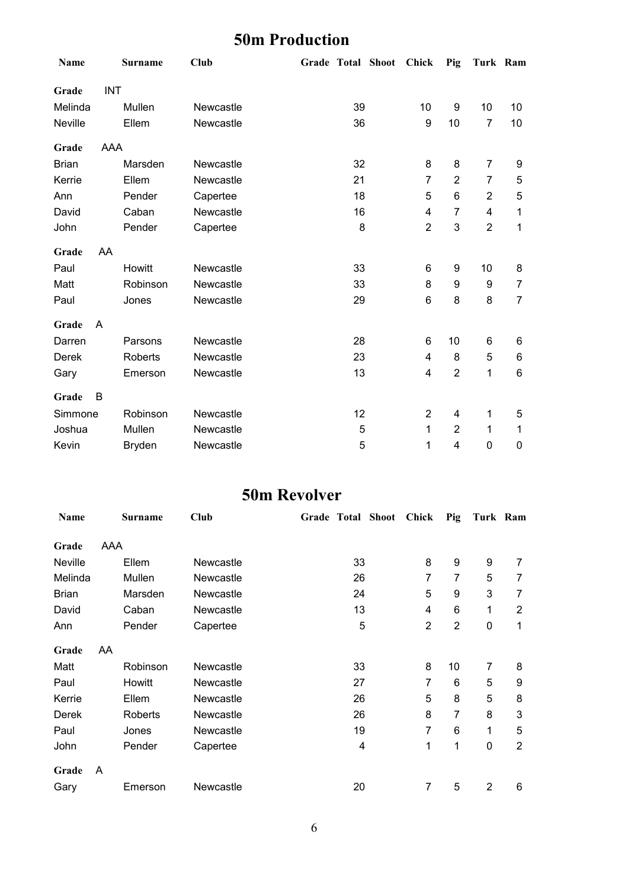### **50m Production**

| Name         |            | <b>Surname</b> | <b>Club</b> |    | Grade Total Shoot Chick |                | Pig            | Turk Ram       |                |
|--------------|------------|----------------|-------------|----|-------------------------|----------------|----------------|----------------|----------------|
| Grade        | <b>INT</b> |                |             |    |                         |                |                |                |                |
| Melinda      |            | Mullen         | Newcastle   | 39 |                         | 10             | 9              | 10             | 10             |
| Neville      |            | Ellem          | Newcastle   | 36 |                         | 9              | 10             | $\overline{7}$ | 10             |
| Grade        | <b>AAA</b> |                |             |    |                         |                |                |                |                |
| <b>Brian</b> |            | Marsden        | Newcastle   | 32 |                         | 8              | 8              | $\overline{7}$ | 9              |
| Kerrie       |            | Ellem          | Newcastle   | 21 |                         | $\overline{7}$ | $\overline{2}$ | $\overline{7}$ | 5              |
| Ann          |            | Pender         | Capertee    | 18 |                         | 5              | 6              | $\overline{2}$ | 5              |
| David        |            | Caban          | Newcastle   | 16 |                         | 4              | $\overline{7}$ | 4              | 1              |
| John         |            | Pender         | Capertee    | 8  |                         | $\overline{2}$ | 3              | $\overline{2}$ | 1              |
| Grade        | AA         |                |             |    |                         |                |                |                |                |
| Paul         |            | Howitt         | Newcastle   | 33 |                         | 6              | 9              | 10             | 8              |
| Matt         |            | Robinson       | Newcastle   | 33 |                         | 8              | 9              | 9              | 7              |
| Paul         |            | Jones          | Newcastle   | 29 |                         | 6              | 8              | 8              | $\overline{7}$ |
| Grade        | A          |                |             |    |                         |                |                |                |                |
| Darren       |            | Parsons        | Newcastle   | 28 |                         | 6              | 10             | 6              | 6              |
| Derek        |            | Roberts        | Newcastle   | 23 |                         | 4              | 8              | 5              | 6              |
| Gary         |            | Emerson        | Newcastle   | 13 |                         | 4              | $\overline{2}$ | 1              | 6              |
| Grade        | B          |                |             |    |                         |                |                |                |                |
| Simmone      |            | Robinson       | Newcastle   | 12 |                         | 2              | 4              | 1              | 5              |
| Joshua       |            | Mullen         | Newcastle   | 5  |                         | 1              | $\overline{2}$ | 1              | 1              |
| Kevin        |            | <b>Bryden</b>  | Newcastle   | 5  |                         | 1              | 4              | $\mathbf 0$    | 0              |

### **50m Revolver**

| Name         |     | Surname        | Club             | Grade Total Shoot |    | <b>Chick</b>   | Pig            | Turk Ram       |                |
|--------------|-----|----------------|------------------|-------------------|----|----------------|----------------|----------------|----------------|
| Grade        | AAA |                |                  |                   |    |                |                |                |                |
| Neville      |     | Ellem          | <b>Newcastle</b> |                   | 33 | 8              | 9              | 9              | 7              |
| Melinda      |     | Mullen         | Newcastle        |                   | 26 | 7              | 7              | 5              | 7              |
| <b>Brian</b> |     | Marsden        | Newcastle        |                   | 24 | 5              | 9              | 3              | 7              |
| David        |     | Caban          | <b>Newcastle</b> |                   | 13 | 4              | 6              | 1              | $\overline{2}$ |
| Ann          |     | Pender         | Capertee         |                   | 5  | $\overline{2}$ | $\overline{2}$ | 0              | 1              |
| Grade        | AA  |                |                  |                   |    |                |                |                |                |
| Matt         |     | Robinson       | Newcastle        |                   | 33 | 8              | 10             | 7              | 8              |
| Paul         |     | Howitt         | Newcastle        |                   | 27 | 7              | 6              | 5              | 9              |
| Kerrie       |     | Ellem          | Newcastle        |                   | 26 | 5              | 8              | 5              | 8              |
| Derek        |     | <b>Roberts</b> | Newcastle        |                   | 26 | 8              | $\overline{7}$ | 8              | 3              |
| Paul         |     | Jones          | Newcastle        |                   | 19 | 7              | 6              | 1              | 5              |
| John         |     | Pender         | Capertee         |                   | 4  | 1              | 1              | 0              | $\overline{2}$ |
| Grade        | A   |                |                  |                   |    |                |                |                |                |
| Gary         |     | Emerson        | Newcastle        |                   | 20 | 7              | 5              | $\overline{2}$ | 6              |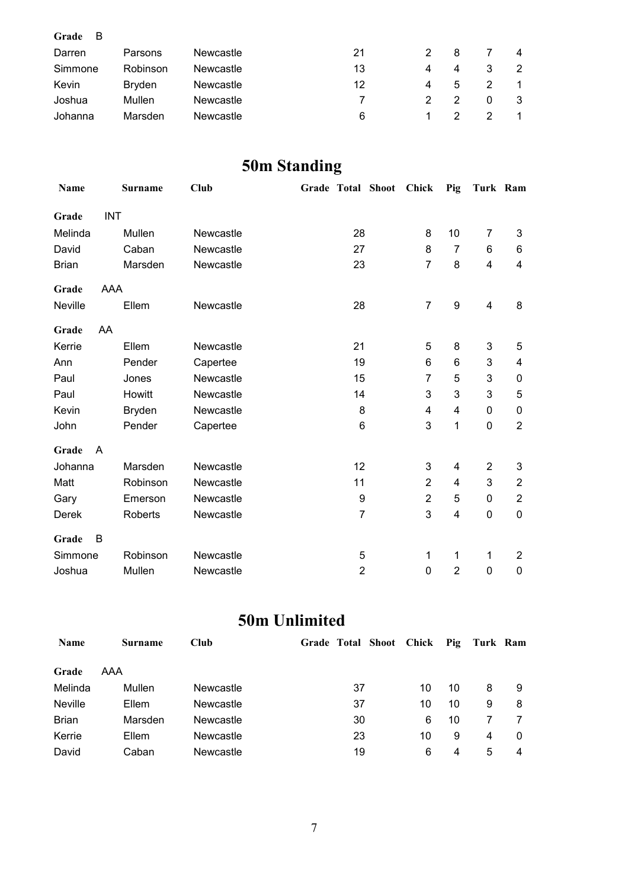| Grade<br>- B |          |                  |    |    |    |   |   |
|--------------|----------|------------------|----|----|----|---|---|
| Darren       | Parsons  | Newcastle        | 21 | 2. | -8 |   | 4 |
| Simmone      | Robinson | Newcastle        | 13 | 4  | 4  | 3 | 2 |
| Kevin        | Bryden   | Newcastle        | 12 | 4  | 5  |   |   |
| Joshua       | Mullen   | <b>Newcastle</b> |    |    |    | 0 | 3 |
| Johanna      | Marsden  | Newcastle        | 6  |    |    |   |   |

### **50m Standing**

| Name         |            | Surname       | Club             |                 | Grade Total Shoot | <b>Chick</b>   | Pig            | Turk Ram       |                           |
|--------------|------------|---------------|------------------|-----------------|-------------------|----------------|----------------|----------------|---------------------------|
| Grade        | <b>INT</b> |               |                  |                 |                   |                |                |                |                           |
| Melinda      |            | Mullen        | Newcastle        | 28              |                   | 8              | 10             | 7              | 3                         |
| David        |            | Caban         | Newcastle        | 27              |                   | 8              | $\overline{7}$ | 6              | 6                         |
| <b>Brian</b> |            | Marsden       | Newcastle        | 23              |                   | $\overline{7}$ | 8              | 4              | 4                         |
| Grade        | AAA        |               |                  |                 |                   |                |                |                |                           |
| Neville      |            | Ellem         | Newcastle        | 28              |                   | 7              | 9              | $\overline{4}$ | 8                         |
| Grade        | AA         |               |                  |                 |                   |                |                |                |                           |
| Kerrie       |            | Ellem         | Newcastle        | 21              |                   | 5              | 8              | 3              | 5                         |
| Ann          |            | Pender        | Capertee         | 19              |                   | 6              | 6              | 3              | 4                         |
| Paul         |            | Jones         | Newcastle        | 15              |                   | 7              | 5              | 3              | $\mathbf 0$               |
| Paul         |            | Howitt        | Newcastle        | 14              |                   | 3              | 3              | 3              | 5                         |
| Kevin        |            | <b>Bryden</b> | Newcastle        | 8               |                   | 4              | 4              | 0              | 0                         |
| John         |            | Pender        | Capertee         | $6\phantom{1}6$ |                   | 3              | 1              | $\mathbf 0$    | $\overline{2}$            |
| Grade        | A          |               |                  |                 |                   |                |                |                |                           |
| Johanna      |            | Marsden       | Newcastle        | 12              |                   | 3              | 4              | $\overline{2}$ | $\ensuremath{\mathsf{3}}$ |
| Matt         |            | Robinson      | Newcastle        | 11              |                   | $\overline{2}$ | 4              | 3              | $\overline{2}$            |
| Gary         |            | Emerson       | Newcastle        | 9               |                   | $\overline{2}$ | 5              | 0              | $\overline{2}$            |
| Derek        |            | Roberts       | Newcastle        | $\overline{7}$  |                   | 3              | 4              | 0              | $\mathbf 0$               |
| Grade        | B          |               |                  |                 |                   |                |                |                |                           |
| Simmone      |            | Robinson      | Newcastle        | 5               |                   | 1              | 1              | 1              | $\overline{2}$            |
| Joshua       |            | Mullen        | <b>Newcastle</b> | $\overline{2}$  |                   | 0              | $\overline{2}$ | 0              | 0                         |

### **50m Unlimited**

| <b>Name</b>    | <b>Surname</b> | <b>Club</b> | Grade Total Shoot Chick Pig |    |    | Turk Ram |          |
|----------------|----------------|-------------|-----------------------------|----|----|----------|----------|
| Grade          | AAA            |             |                             |    |    |          |          |
| Melinda        | Mullen         | Newcastle   | 37                          | 10 | 10 | 8        | 9        |
| <b>Neville</b> | Ellem          | Newcastle   | 37                          | 10 | 10 | 9        | 8        |
| <b>Brian</b>   | Marsden        | Newcastle   | 30                          | 6  | 10 |          |          |
| Kerrie         | Ellem          | Newcastle   | 23                          | 10 | 9  | 4        | $\Omega$ |
| David          | Caban          | Newcastle   | 19                          | 6  | 4  | 5        | 4        |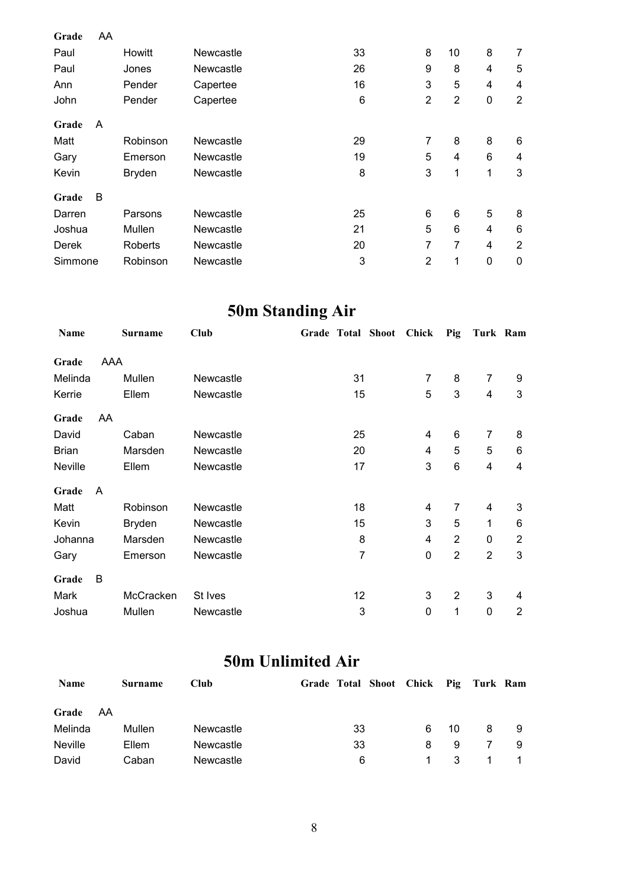| Grade   | AA |               |                  |    |                |                |             |                |
|---------|----|---------------|------------------|----|----------------|----------------|-------------|----------------|
| Paul    |    | Howitt        | Newcastle        | 33 | 8              | 10             | 8           | 7              |
| Paul    |    | Jones         | Newcastle        | 26 | 9              | 8              | 4           | 5              |
| Ann     |    | Pender        | Capertee         | 16 | 3              | 5              | 4           | 4              |
| John    |    | Pender        | Capertee         | 6  | $\overline{2}$ | $\overline{2}$ | 0           | $\overline{2}$ |
| Grade   | A  |               |                  |    |                |                |             |                |
| Matt    |    | Robinson      | Newcastle        | 29 | $\overline{7}$ | 8              | 8           | 6              |
| Gary    |    | Emerson       | <b>Newcastle</b> | 19 | 5              | 4              | 6           | 4              |
| Kevin   |    | <b>Bryden</b> | <b>Newcastle</b> | 8  | 3              | 1              | 1           | 3              |
| Grade   | B  |               |                  |    |                |                |             |                |
| Darren  |    | Parsons       | Newcastle        | 25 | 6              | 6              | 5           | 8              |
| Joshua  |    | Mullen        | Newcastle        | 21 | $\overline{5}$ | 6              | 4           | 6              |
| Derek   |    | Roberts       | <b>Newcastle</b> | 20 | 7              | 7              | 4           | $\overline{2}$ |
| Simmone |    | Robinson      | Newcastle        | 3  | $\overline{2}$ | 1              | $\mathbf 0$ | 0              |

## **50m Standing Air**

| Name         |     | <b>Surname</b> | Club      | Grade Total Shoot |                | Chick          | Pig            | Turk Ram       |                |
|--------------|-----|----------------|-----------|-------------------|----------------|----------------|----------------|----------------|----------------|
| Grade        | AAA |                |           |                   |                |                |                |                |                |
| Melinda      |     | Mullen         | Newcastle |                   | 31             | $\overline{7}$ | 8              | $\overline{7}$ | 9              |
| Kerrie       |     | Ellem          | Newcastle |                   | 15             | 5              | 3              | $\overline{4}$ | 3              |
| Grade        | AA  |                |           |                   |                |                |                |                |                |
| David        |     | Caban          | Newcastle |                   | 25             | 4              | 6              | 7              | 8              |
| <b>Brian</b> |     | Marsden        | Newcastle |                   | 20             | 4              | 5              | 5              | 6              |
| Neville      |     | Ellem          | Newcastle |                   | 17             | 3              | 6              | 4              | 4              |
| Grade        | A   |                |           |                   |                |                |                |                |                |
| Matt         |     | Robinson       | Newcastle |                   | 18             | 4              | $\overline{7}$ | 4              | 3              |
| Kevin        |     | <b>Bryden</b>  | Newcastle |                   | 15             | 3              | 5              | 1              | 6              |
| Johanna      |     | Marsden        | Newcastle |                   | 8              | 4              | $\overline{2}$ | 0              | $\overline{2}$ |
| Gary         |     | Emerson        | Newcastle |                   | $\overline{7}$ | 0              | $\overline{2}$ | $\overline{2}$ | 3              |
| Grade        | B   |                |           |                   |                |                |                |                |                |
| Mark         |     | McCracken      | St Ives   |                   | 12             | 3              | $\overline{2}$ | 3              | 4              |
| Joshua       |     | Mullen         | Newcastle |                   | 3              | 0              | 1              | 0              | $\overline{2}$ |

### **50m Unlimited Air**

| <b>Name</b>    |      | <b>Surname</b> | <b>Club</b>      |    | Grade Total Shoot Chick Pig Turk Ram |    |   |  |
|----------------|------|----------------|------------------|----|--------------------------------------|----|---|--|
| Grade          | - AA |                |                  |    |                                      |    |   |  |
| Melinda        |      | Mullen         | <b>Newcastle</b> | 33 | 6                                    | 10 | 8 |  |
| <b>Neville</b> |      | Ellem          | Newcastle        | 33 | 8                                    | 9  |   |  |
| David          |      | Caban          | Newcastle        | 6  |                                      | 3  |   |  |